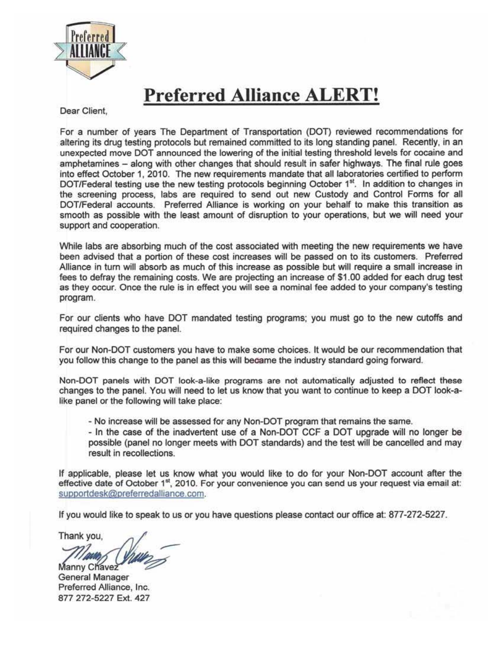

## **Preferred Alliance ALERT!**

Dear Client,

For a number of years The Department of Transportation (DOT) reviewed recommendations for altering its drug testing protocols but remained committed to its long standing panel. Recently, in an unexpected move DOT announced the lowering of the initial testing threshold levels for cocaine and amphetamines - along with other changes that should result in safer highways. The final rule goes into effect October 1, 2010. The new requirements mandate that all laboratories certified to perform DOT/Federal testing use the new testing protocols beginning October 1<sup>st</sup>. In addition to changes in the screening process, labs are required to send out new Custody and Control Forms for all DOT/Federal accounts. Preferred Alliance is working on your behalf to make this transition as smooth as possible with the least amount of disruption to your operations, but we will need your support and cooperation.

While labs are absorbing much of the cost associated with meeting the new requirements we have been advised that a portion of these cost increases will be passed on to its customers. Preferred Alliance in turn will absorb as much of this increase as possible but will require a small increase in fees to defray the remaining costs. We are projecting an increase of \$1 .00 added for each drug test as they occur. Once the rule is in effect you will see a nominal fee added to your company's testing program.

For our clients who have DOT mandated testing programs; you must go to the new cutoffs and required changes to the panel.

For our Non-DOT customers you have to make some choices. It would be our recommendation that you follow this change to the panel as this will became the industry standard going forward.

Non-DOT panels with DOT look-a-like programs are not automatically adjusted to reflect these changes to the panel. You will need to let us know that you want to continue to keep a DOT look-alike panel or the following will take place:

- No increase will be assessed for any Non-DOT program that remains the same.

- In the case of the inadvertent use of a Non-DOT CCF a DOT upgrade will no longer be possible (panel no longer meets with DOT standards) and the test will be cancelled and may result in recollections.

If applicable, please let us know what you would like to do for your Non-DOT account after the effective date of October  $1<sup>st</sup>$ , 2010. For your convenience you can send us your request via email at: supportdesk@preferredalliance.com.

If you would like to speak to us or you have questions please contact our office at: 877-272-5227.

Thank you,

Manny Chavez Preferred Alliance, Inc. 877 272-5227 Ext. 427